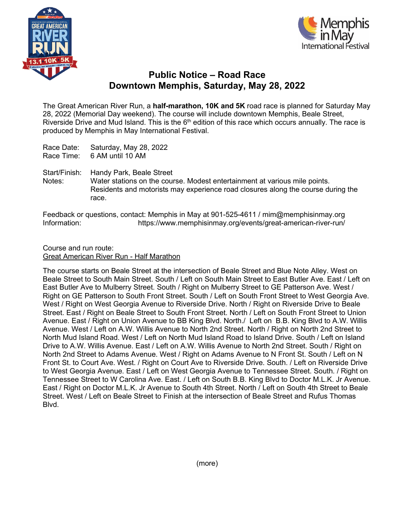



## **Public Notice – Road Race Downtown Memphis, Saturday, May 28, 2022**

The Great American River Run, a **half-marathon, 10K and 5K** road race is planned for Saturday May 28, 2022 (Memorial Day weekend). The course will include downtown Memphis, Beale Street, Riverside Drive and Mud Island. This is the  $6<sup>th</sup>$  edition of this race which occurs annually. The race is produced by Memphis in May International Festival.

Race Date: Saturday, May 28, 2022 Race Time: 6 AM until 10 AM

Start/Finish: Handy Park, Beale Street Notes: Water stations on the course. Modest entertainment at various mile points. Residents and motorists may experience road closures along the course during the race.

Feedback or questions, contact: Memphis in May at 901-525-4611 / mim@memphisinmay.org Information: https://www.memphisinmay.org/events/great-american-river-run/

Course and run route: Great American River Run - Half Marathon

The course starts on Beale Street at the intersection of Beale Street and Blue Note Alley. West on Beale Street to South Main Street. South / Left on South Main Street to East Butler Ave. East / Left on East Butler Ave to Mulberry Street. South / Right on Mulberry Street to GE Patterson Ave. West / Right on GE Patterson to South Front Street. South / Left on South Front Street to West Georgia Ave. West / Right on West Georgia Avenue to Riverside Drive. North / Right on Riverside Drive to Beale Street. East / Right on Beale Street to South Front Street. North / Left on South Front Street to Union Avenue. East / Right on Union Avenue to BB King Blvd. North./ Left on B.B. King Blvd to A.W. Willis Avenue. West / Left on A.W. Willis Avenue to North 2nd Street. North / Right on North 2nd Street to North Mud Island Road. West / Left on North Mud Island Road to Island Drive. South / Left on Island Drive to A.W. Willis Avenue. East / Left on A.W. Willis Avenue to North 2nd Street. South / Right on North 2nd Street to Adams Avenue. West / Right on Adams Avenue to N Front St. South / Left on N Front St. to Court Ave. West. / Right on Court Ave to Riverside Drive. South. / Left on Riverside Drive to West Georgia Avenue. East / Left on West Georgia Avenue to Tennessee Street. South. / Right on Tennessee Street to W Carolina Ave. East. / Left on South B.B. King Blvd to Doctor M.L.K. Jr Avenue. East / Right on Doctor M.L.K. Jr Avenue to South 4th Street. North / Left on South 4th Street to Beale Street. West / Left on Beale Street to Finish at the intersection of Beale Street and Rufus Thomas Blvd.